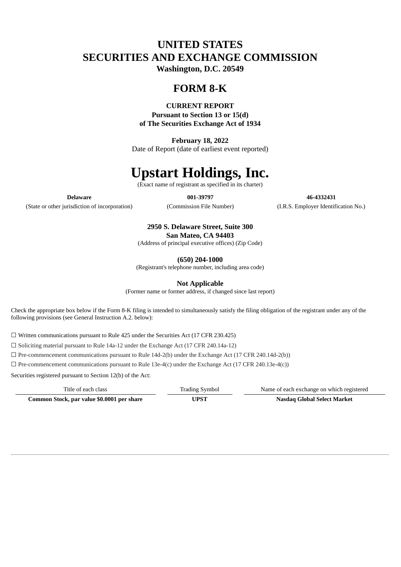## **UNITED STATES SECURITIES AND EXCHANGE COMMISSION**

**Washington, D.C. 20549**

## **FORM 8-K**

### **CURRENT REPORT**

**Pursuant to Section 13 or 15(d) of The Securities Exchange Act of 1934**

**February 18, 2022** Date of Report (date of earliest event reported)

# **Upstart Holdings, Inc.**

(Exact name of registrant as specified in its charter)

(State or other jurisdiction of incorporation) (Commission File Number) (I.R.S. Employer Identification No.)

**Delaware 001-39797 46-4332431**

## **2950 S. Delaware Street, Suite 300 San Mateo, CA 94403**

(Address of principal executive offices) (Zip Code)

**(650) 204-1000**

(Registrant's telephone number, including area code)

**Not Applicable**

(Former name or former address, if changed since last report)

Check the appropriate box below if the Form 8-K filing is intended to simultaneously satisfy the filing obligation of the registrant under any of the following provisions (see General Instruction A.2. below):

☐ Written communications pursuant to Rule 425 under the Securities Act (17 CFR 230.425)

☐ Soliciting material pursuant to Rule 14a-12 under the Exchange Act (17 CFR 240.14a-12)

☐ Pre-commencement communications pursuant to Rule 14d-2(b) under the Exchange Act (17 CFR 240.14d-2(b))

 $\Box$  Pre-commencement communications pursuant to Rule 13e-4(c) under the Exchange Act (17 CFR 240.13e-4(c))

Securities registered pursuant to Section 12(b) of the Act:

Title of each class Trading Symbol Name of each exchange on which registered

**Common Stock, par value \$0.0001 per share UPST Nasdaq Global Select Market**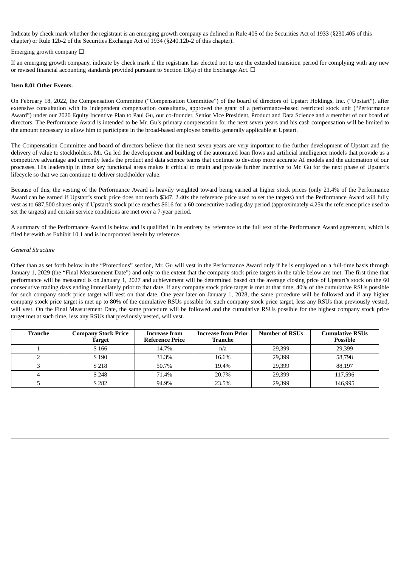Indicate by check mark whether the registrant is an emerging growth company as defined in Rule 405 of the Securities Act of 1933 (§230.405 of this chapter) or Rule 12b-2 of the Securities Exchange Act of 1934 (§240.12b-2 of this chapter).

#### Emerging growth company  $\Box$

If an emerging growth company, indicate by check mark if the registrant has elected not to use the extended transition period for complying with any new or revised financial accounting standards provided pursuant to Section 13(a) of the Exchange Act.  $\Box$ 

#### **Item 8.01 Other Events.**

On February 18, 2022, the Compensation Committee ("Compensation Committee") of the board of directors of Upstart Holdings, Inc. ("Upstart"), after extensive consultation with its independent compensation consultants, approved the grant of a performance-based restricted stock unit ("Performance Award") under our 2020 Equity Incentive Plan to Paul Gu, our co-founder, Senior Vice President, Product and Data Science and a member of our board of directors. The Performance Award is intended to be Mr. Gu's primary compensation for the next seven years and his cash compensation will be limited to the amount necessary to allow him to participate in the broad-based employee benefits generally applicable at Upstart.

The Compensation Committee and board of directors believe that the next seven years are very important to the further development of Upstart and the delivery of value to stockholders. Mr. Gu led the development and building of the automated loan flows and artificial intelligence models that provide us a competitive advantage and currently leads the product and data science teams that continue to develop more accurate AI models and the automation of our processes. His leadership in these key functional areas makes it critical to retain and provide further incentive to Mr. Gu for the next phase of Upstart's lifecycle so that we can continue to deliver stockholder value.

Because of this, the vesting of the Performance Award is heavily weighted toward being earned at higher stock prices (only 21.4% of the Performance Award can be earned if Upstart's stock price does not reach \$347, 2.40x the reference price used to set the targets) and the Performance Award will fully vest as to 687,500 shares only if Upstart's stock price reaches \$616 for a 60 consecutive trading day period (approximately 4.25x the reference price used to set the targets) and certain service conditions are met over a 7-year period.

A summary of the Performance Award is below and is qualified in its entirety by reference to the full text of the Performance Award agreement, which is filed herewith as Exhibit 10.1 and is incorporated herein by reference.

#### *General Structure*

Other than as set forth below in the "Protections" section, Mr. Gu will vest in the Performance Award only if he is employed on a full-time basis through January 1, 2029 (the "Final Measurement Date") and only to the extent that the company stock price targets in the table below are met. The first time that performance will be measured is on January 1, 2027 and achievement will be determined based on the average closing price of Upstart's stock on the 60 consecutive trading days ending immediately prior to that date. If any company stock price target is met at that time, 40% of the cumulative RSUs possible for such company stock price target will vest on that date. One year later on January 1, 2028, the same procedure will be followed and if any higher company stock price target is met up to 80% of the cumulative RSUs possible for such company stock price target, less any RSUs that previously vested, will vest. On the Final Measurement Date, the same procedure will be followed and the cumulative RSUs possible for the highest company stock price target met at such time, less any RSUs that previously vested, will vest.

| Tranche | <b>Company Stock Price</b><br>Target | <b>Increase from</b><br><b>Reference Price</b> | <b>Increase from Prior</b><br><b>Tranche</b> | <b>Number of RSUs</b> | <b>Cumulative RSUs</b><br><b>Possible</b> |
|---------|--------------------------------------|------------------------------------------------|----------------------------------------------|-----------------------|-------------------------------------------|
|         | \$166                                | 14.7%                                          | n/a                                          | 29,399                | 29,399                                    |
|         | \$190                                | 31.3%                                          | 16.6%                                        | 29,399                | 58,798                                    |
|         | \$218                                | 50.7%                                          | 19.4%                                        | 29.399                | 88.197                                    |
|         | \$248                                | 71.4%                                          | 20.7%                                        | 29.399                | 117,596                                   |
|         | \$282                                | 94.9%                                          | 23.5%                                        | 29,399                | 146,995                                   |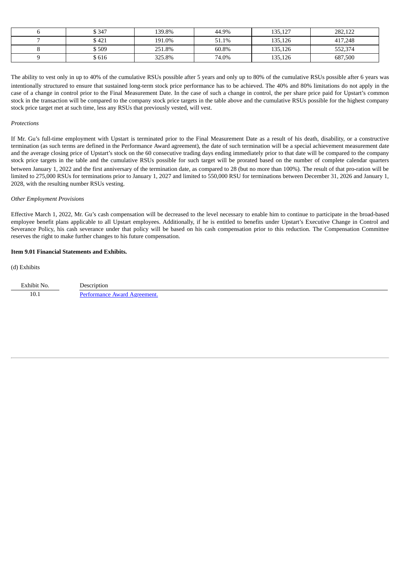| \$347  | 139.8% | 44.9% | 135,127 | 282,122 |
|--------|--------|-------|---------|---------|
| \$ 421 | 191.0% | 51.1% | 135,126 | 417,248 |
| \$ 509 | 251.8% | 60.8% | 135,126 | 552,374 |
| \$616  | 325.8% | 74.0% | 135,126 | 687,500 |

The ability to vest only in up to 40% of the cumulative RSUs possible after 5 years and only up to 80% of the cumulative RSUs possible after 6 years was intentionally structured to ensure that sustained long-term stock price performance has to be achieved. The 40% and 80% limitations do not apply in the case of a change in control prior to the Final Measurement Date. In the case of such a change in control, the per share price paid for Upstart's common stock in the transaction will be compared to the company stock price targets in the table above and the cumulative RSUs possible for the highest company stock price target met at such time, less any RSUs that previously vested, will vest.

#### *Protections*

If Mr. Gu's full-time employment with Upstart is terminated prior to the Final Measurement Date as a result of his death, disability, or a constructive termination (as such terms are defined in the Performance Award agreement), the date of such termination will be a special achievement measurement date and the average closing price of Upstart's stock on the 60 consecutive trading days ending immediately prior to that date will be compared to the company stock price targets in the table and the cumulative RSUs possible for such target will be prorated based on the number of complete calendar quarters between January 1, 2022 and the first anniversary of the termination date, as compared to 28 (but no more than 100%). The result of that pro-ration will be limited to 275,000 RSUs for terminations prior to January 1, 2027 and limited to 550,000 RSU for terminations between December 31, 2026 and January 1, 2028, with the resulting number RSUs vesting.

#### *Other Employment Provisions*

Effective March 1, 2022, Mr. Gu's cash compensation will be decreased to the level necessary to enable him to continue to participate in the broad-based employee benefit plans applicable to all Upstart employees. Additionally, if he is entitled to benefits under Upstart's Executive Change in Control and Severance Policy, his cash severance under that policy will be based on his cash compensation prior to this reduction. The Compensation Committee reserves the right to make further changes to his future compensation.

#### **Item 9.01 Financial Statements and Exhibits.**

#### (d) Exhibits

Exhibit No. Description 10.1 **[Performance](#page-4-0) Award Agreement.**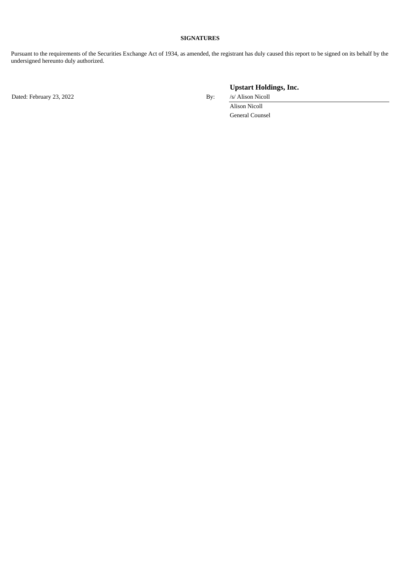#### **SIGNATURES**

Pursuant to the requirements of the Securities Exchange Act of 1934, as amended, the registrant has duly caused this report to be signed on its behalf by the undersigned hereunto duly authorized.

Dated: February 23, 2022 **By:** *Isl* Alison Nicoll

**Upstart Holdings, Inc.**

Alison Nicoll General Counsel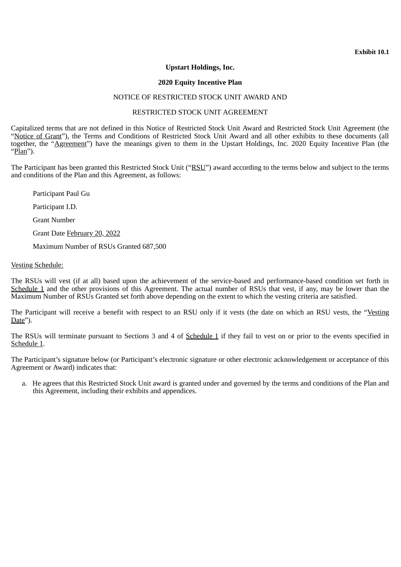**Exhibit 10.1**

## **Upstart Holdings, Inc.**

## **2020 Equity Incentive Plan**

## NOTICE OF RESTRICTED STOCK UNIT AWARD AND

## RESTRICTED STOCK UNIT AGREEMENT

<span id="page-4-0"></span>Capitalized terms that are not defined in this Notice of Restricted Stock Unit Award and Restricted Stock Unit Agreement (the "Notice of Grant"), the Terms and Conditions of Restricted Stock Unit Award and all other exhibits to these documents (all together, the "Agreement") have the meanings given to them in the Upstart Holdings, Inc. 2020 Equity Incentive Plan (the "Pl<u>an</u>").

The Participant has been granted this Restricted Stock Unit ("RSU") award according to the terms below and subject to the terms and conditions of the Plan and this Agreement, as follows:

Participant Paul Gu

Participant I.D.

Grant Number

Grant Date February 20, 2022

Maximum Number of RSUs Granted 687,500

## Vesting Schedule:

The RSUs will vest (if at all) based upon the achievement of the service-based and performance-based condition set forth in Schedule 1 and the other provisions of this Agreement. The actual number of RSUs that vest, if any, may be lower than the Maximum Number of RSUs Granted set forth above depending on the extent to which the vesting criteria are satisfied.

The Participant will receive a benefit with respect to an RSU only if it vests (the date on which an RSU vests, the "Vesting Date").

The RSUs will terminate pursuant to Sections 3 and 4 of Schedule 1 if they fail to vest on or prior to the events specified in Schedule 1.

The Participant's signature below (or Participant's electronic signature or other electronic acknowledgement or acceptance of this Agreement or Award) indicates that:

a. He agrees that this Restricted Stock Unit award is granted under and governed by the terms and conditions of the Plan and this Agreement, including their exhibits and appendices.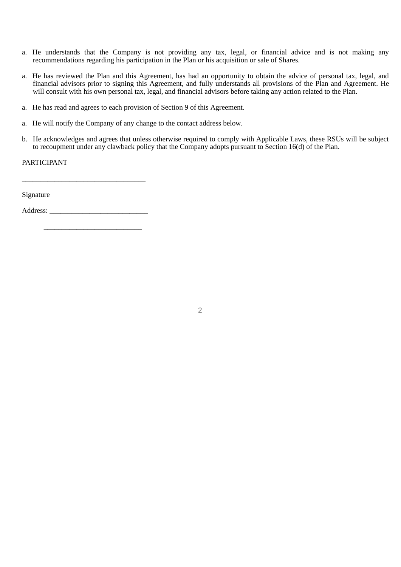- a. He understands that the Company is not providing any tax, legal, or financial advice and is not making any recommendations regarding his participation in the Plan or his acquisition or sale of Shares.
- a. He has reviewed the Plan and this Agreement, has had an opportunity to obtain the advice of personal tax, legal, and financial advisors prior to signing this Agreement, and fully understands all provisions of the Plan and Agreement. He will consult with his own personal tax, legal, and financial advisors before taking any action related to the Plan.
- a. He has read and agrees to each provision of Section 9 of this Agreement.
- a. He will notify the Company of any change to the contact address below.
- b. He acknowledges and agrees that unless otherwise required to comply with Applicable Laws, these RSUs will be subject to recoupment under any clawback policy that the Company adopts pursuant to Section 16(d) of the Plan.

PARTICIPANT

Signature

Address:

\_\_\_\_\_\_\_\_\_\_\_\_\_\_\_\_\_\_\_\_\_\_\_\_\_\_\_

\_\_\_\_\_\_\_\_\_\_\_\_\_\_\_\_\_\_\_\_\_\_\_\_\_\_\_\_\_\_\_\_\_\_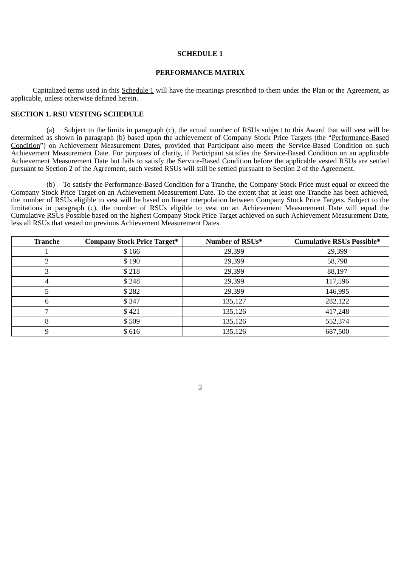#### **SCHEDULE 1**

#### **PERFORMANCE MATRIX**

Capitalized terms used in this Schedule 1 will have the meanings prescribed to them under the Plan or the Agreement, as applicable, unless otherwise defined herein.

## **SECTION 1. RSU VESTING SCHEDULE**

(a) Subject to the limits in paragraph (c), the actual number of RSUs subject to this Award that will vest will be determined as shown in paragraph (b) based upon the achievement of Company Stock Price Targets (the "Performance-Based Condition") on Achievement Measurement Dates, provided that Participant also meets the Service-Based Condition on such Achievement Measurement Date. For purposes of clarity, if Participant satisfies the Service-Based Condition on an applicable Achievement Measurement Date but fails to satisfy the Service-Based Condition before the applicable vested RSUs are settled pursuant to Section 2 of the Agreement, such vested RSUs will still be settled pursuant to Section 2 of the Agreement.

(b) To satisfy the Performance-Based Condition for a Tranche, the Company Stock Price must equal or exceed the Company Stock Price Target on an Achievement Measurement Date. To the extent that at least one Tranche has been achieved, the number of RSUs eligible to vest will be based on linear interpolation between Company Stock Price Targets. Subject to the limitations in paragraph (c), the number of RSUs eligible to vest on an Achievement Measurement Date will equal the Cumulative RSUs Possible based on the highest Company Stock Price Target achieved on such Achievement Measurement Date, less all RSUs that vested on previous Achievement Measurement Dates.

| <b>Tranche</b> | <b>Company Stock Price Target*</b> | Number of RSUs* | <b>Cumulative RSUs Possible*</b> |
|----------------|------------------------------------|-----------------|----------------------------------|
|                | \$166                              | 29,399          | 29,399                           |
|                | \$190                              | 29,399          | 58,798                           |
| 3              | \$218                              | 29,399          | 88,197                           |
| 4              | \$248                              | 29,399          | 117,596                          |
| 5              | \$282                              | 29,399          | 146,995                          |
| 6              | \$347                              | 135,127         | 282,122                          |
| ⇁              | \$421                              | 135,126         | 417,248                          |
| 8              | \$509                              | 135,126         | 552,374                          |
| 9              | \$616                              | 135,126         | 687,500                          |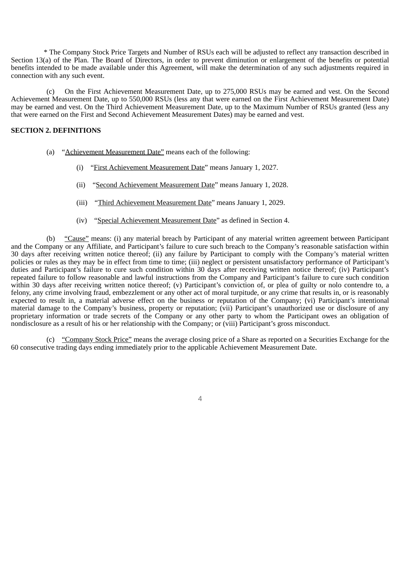\* The Company Stock Price Targets and Number of RSUs each will be adjusted to reflect any transaction described in Section 13(a) of the Plan. The Board of Directors, in order to prevent diminution or enlargement of the benefits or potential benefits intended to be made available under this Agreement, will make the determination of any such adjustments required in connection with any such event.

(c) On the First Achievement Measurement Date, up to 275,000 RSUs may be earned and vest. On the Second Achievement Measurement Date, up to 550,000 RSUs (less any that were earned on the First Achievement Measurement Date) may be earned and vest. On the Third Achievement Measurement Date, up to the Maximum Number of RSUs granted (less any that were earned on the First and Second Achievement Measurement Dates) may be earned and vest.

#### **SECTION 2. DEFINITIONS**

- (a) "Achievement Measurement Date" means each of the following:
	- (i) "First Achievement Measurement Date" means January 1, 2027.
	- (ii) "Second Achievement Measurement Date" means January 1, 2028.
	- (iii) "Third Achievement Measurement Date" means January 1, 2029.
	- (iv) "Special Achievement Measurement Date" as defined in Section 4.

(b) "Cause" means: (i) any material breach by Participant of any material written agreement between Participant and the Company or any Affiliate, and Participant's failure to cure such breach to the Company's reasonable satisfaction within 30 days after receiving written notice thereof; (ii) any failure by Participant to comply with the Company's material written policies or rules as they may be in effect from time to time; (iii) neglect or persistent unsatisfactory performance of Participant's duties and Participant's failure to cure such condition within 30 days after receiving written notice thereof; (iv) Participant's repeated failure to follow reasonable and lawful instructions from the Company and Participant's failure to cure such condition within 30 days after receiving written notice thereof; (y) Participant's conviction of, or plea of guilty or nolo contendre to, a felony, any crime involving fraud, embezzlement or any other act of moral turpitude, or any crime that results in, or is reasonably expected to result in, a material adverse effect on the business or reputation of the Company; (vi) Participant's intentional material damage to the Company's business, property or reputation; (vii) Participant's unauthorized use or disclosure of any proprietary information or trade secrets of the Company or any other party to whom the Participant owes an obligation of nondisclosure as a result of his or her relationship with the Company; or (viii) Participant's gross misconduct.

(c) "Company Stock Price" means the average closing price of a Share as reported on a Securities Exchange for the 60 consecutive trading days ending immediately prior to the applicable Achievement Measurement Date.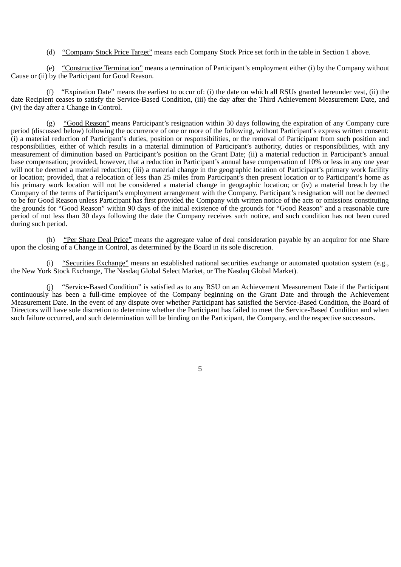(d) "Company Stock Price Target" means each Company Stock Price set forth in the table in Section 1 above.

(e) "Constructive Termination" means a termination of Participant's employment either (i) by the Company without Cause or (ii) by the Participant for Good Reason.

(f) "Expiration Date" means the earliest to occur of: (i) the date on which all RSUs granted hereunder vest, (ii) the date Recipient ceases to satisfy the Service-Based Condition, (iii) the day after the Third Achievement Measurement Date, and (iv) the day after a Change in Control.

(g) "Good Reason" means Participant's resignation within 30 days following the expiration of any Company cure period (discussed below) following the occurrence of one or more of the following, without Participant's express written consent: (i) a material reduction of Participant's duties, position or responsibilities, or the removal of Participant from such position and responsibilities, either of which results in a material diminution of Participant's authority, duties or responsibilities, with any measurement of diminution based on Participant's position on the Grant Date; (ii) a material reduction in Participant's annual base compensation; provided, however, that a reduction in Participant's annual base compensation of 10% or less in any one year will not be deemed a material reduction; (iii) a material change in the geographic location of Participant's primary work facility or location; provided, that a relocation of less than 25 miles from Participant's then present location or to Participant's home as his primary work location will not be considered a material change in geographic location; or (iv) a material breach by the Company of the terms of Participant's employment arrangement with the Company. Participant's resignation will not be deemed to be for Good Reason unless Participant has first provided the Company with written notice of the acts or omissions constituting the grounds for "Good Reason" within 90 days of the initial existence of the grounds for "Good Reason" and a reasonable cure period of not less than 30 days following the date the Company receives such notice, and such condition has not been cured during such period.

(h) "Per Share Deal Price" means the aggregate value of deal consideration payable by an acquiror for one Share upon the closing of a Change in Control, as determined by the Board in its sole discretion.

(i) "Securities Exchange" means an established national securities exchange or automated quotation system (e.g., the New York Stock Exchange, The Nasdaq Global Select Market, or The Nasdaq Global Market).

(j) "Service-Based Condition" is satisfied as to any RSU on an Achievement Measurement Date if the Participant continuously has been a full-time employee of the Company beginning on the Grant Date and through the Achievement Measurement Date. In the event of any dispute over whether Participant has satisfied the Service-Based Condition, the Board of Directors will have sole discretion to determine whether the Participant has failed to meet the Service-Based Condition and when such failure occurred, and such determination will be binding on the Participant, the Company, and the respective successors.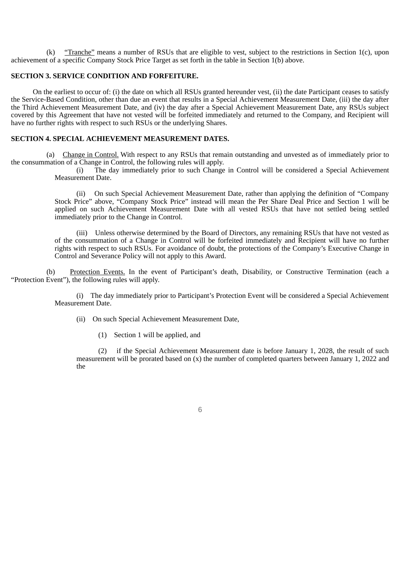(k) "Tranche" means a number of RSUs that are eligible to vest, subject to the restrictions in Section 1(c), upon achievement of a specific Company Stock Price Target as set forth in the table in Section 1(b) above.

#### **SECTION 3. SERVICE CONDITION AND FORFEITURE.**

On the earliest to occur of: (i) the date on which all RSUs granted hereunder vest, (ii) the date Participant ceases to satisfy the Service-Based Condition, other than due an event that results in a Special Achievement Measurement Date, (iii) the day after the Third Achievement Measurement Date, and (iv) the day after a Special Achievement Measurement Date, any RSUs subject covered by this Agreement that have not vested will be forfeited immediately and returned to the Company, and Recipient will have no further rights with respect to such RSUs or the underlying Shares.

## **SECTION 4. SPECIAL ACHIEVEMENT MEASUREMENT DATES.**

(a) Change in Control. With respect to any RSUs that remain outstanding and unvested as of immediately prior to the consummation of a Change in Control, the following rules will apply.

> (i) The day immediately prior to such Change in Control will be considered a Special Achievement Measurement Date.

> (ii) On such Special Achievement Measurement Date, rather than applying the definition of "Company Stock Price" above, "Company Stock Price" instead will mean the Per Share Deal Price and Section 1 will be applied on such Achievement Measurement Date with all vested RSUs that have not settled being settled immediately prior to the Change in Control.

> (iii) Unless otherwise determined by the Board of Directors, any remaining RSUs that have not vested as of the consummation of a Change in Control will be forfeited immediately and Recipient will have no further rights with respect to such RSUs. For avoidance of doubt, the protections of the Company's Executive Change in Control and Severance Policy will not apply to this Award.

(b) Protection Events. In the event of Participant's death, Disability, or Constructive Termination (each a "Protection Event"), the following rules will apply.

> (i) The day immediately prior to Participant's Protection Event will be considered a Special Achievement Measurement Date.

- (ii) On such Special Achievement Measurement Date,
	- (1) Section 1 will be applied, and

(2) if the Special Achievement Measurement date is before January 1, 2028, the result of such measurement will be prorated based on (x) the number of completed quarters between January 1, 2022 and the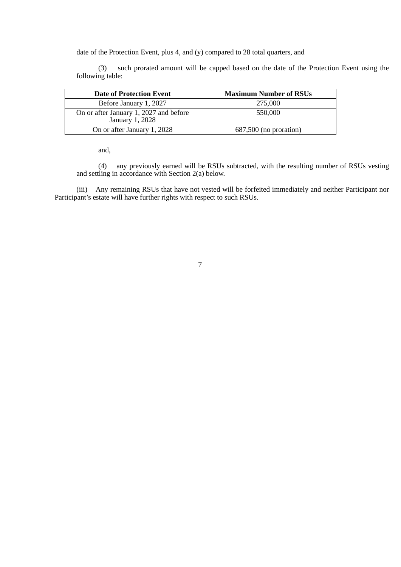date of the Protection Event, plus 4, and (y) compared to 28 total quarters, and

(3) such prorated amount will be capped based on the date of the Protection Event using the following table:

| <b>Date of Protection Event</b>                           | <b>Maximum Number of RSUs</b> |  |  |
|-----------------------------------------------------------|-------------------------------|--|--|
| Before January 1, 2027                                    | 275,000                       |  |  |
| On or after January 1, 2027 and before<br>January 1, 2028 | 550,000                       |  |  |
| On or after January 1, 2028                               | 687,500 (no proration)        |  |  |

and,

(4) any previously earned will be RSUs subtracted, with the resulting number of RSUs vesting and settling in accordance with Section 2(a) below.

(iii) Any remaining RSUs that have not vested will be forfeited immediately and neither Participant nor Participant's estate will have further rights with respect to such RSUs.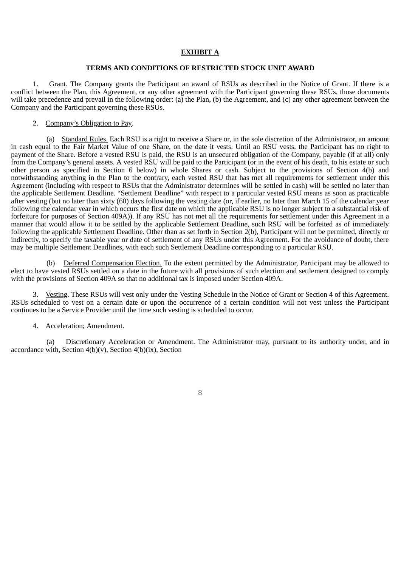#### **EXHIBIT A**

#### **TERMS AND CONDITIONS OF RESTRICTED STOCK UNIT AWARD**

1. Grant. The Company grants the Participant an award of RSUs as described in the Notice of Grant. If there is a conflict between the Plan, this Agreement, or any other agreement with the Participant governing these RSUs, those documents will take precedence and prevail in the following order: (a) the Plan, (b) the Agreement, and (c) any other agreement between the Company and the Participant governing these RSUs.

## 2. Company's Obligation to Pay.

(a) Standard Rules. Each RSU is a right to receive a Share or, in the sole discretion of the Administrator, an amount in cash equal to the Fair Market Value of one Share, on the date it vests. Until an RSU vests, the Participant has no right to payment of the Share. Before a vested RSU is paid, the RSU is an unsecured obligation of the Company, payable (if at all) only from the Company's general assets. A vested RSU will be paid to the Participant (or in the event of his death, to his estate or such other person as specified in Section 6 below) in whole Shares or cash. Subject to the provisions of Section 4(b) and notwithstanding anything in the Plan to the contrary, each vested RSU that has met all requirements for settlement under this Agreement (including with respect to RSUs that the Administrator determines will be settled in cash) will be settled no later than the applicable Settlement Deadline. "Settlement Deadline" with respect to a particular vested RSU means as soon as practicable after vesting (but no later than sixty (60) days following the vesting date (or, if earlier, no later than March 15 of the calendar year following the calendar year in which occurs the first date on which the applicable RSU is no longer subject to a substantial risk of forfeiture for purposes of Section 409A)). If any RSU has not met all the requirements for settlement under this Agreement in a manner that would allow it to be settled by the applicable Settlement Deadline, such RSU will be forfeited as of immediately following the applicable Settlement Deadline. Other than as set forth in Section 2(b), Participant will not be permitted, directly or indirectly, to specify the taxable year or date of settlement of any RSUs under this Agreement. For the avoidance of doubt, there may be multiple Settlement Deadlines, with each such Settlement Deadline corresponding to a particular RSU.

(b) Deferred Compensation Election. To the extent permitted by the Administrator, Participant may be allowed to elect to have vested RSUs settled on a date in the future with all provisions of such election and settlement designed to comply with the provisions of Section 409A so that no additional tax is imposed under Section 409A.

3. Vesting. These RSUs will vest only under the Vesting Schedule in the Notice of Grant or Section 4 of this Agreement. RSUs scheduled to vest on a certain date or upon the occurrence of a certain condition will not vest unless the Participant continues to be a Service Provider until the time such vesting is scheduled to occur.

#### 4. Acceleration; Amendment.

(a) Discretionary Acceleration or Amendment. The Administrator may, pursuant to its authority under, and in accordance with, Section  $4(b)(v)$ , Section  $4(b)(ix)$ , Section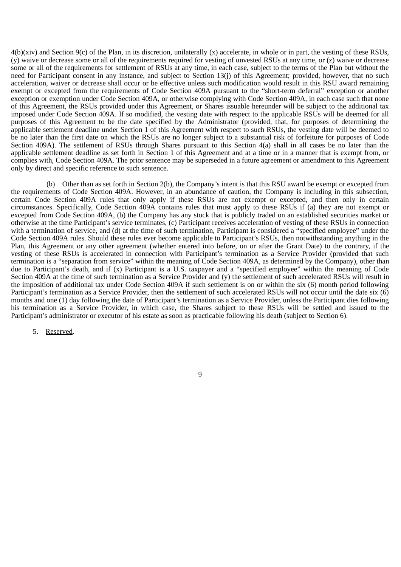4(b)(xiv) and Section 9(c) of the Plan, in its discretion, unilaterally (x) accelerate, in whole or in part, the vesting of these RSUs, (y) waive or decrease some or all of the requirements required for vesting of unvested RSUs at any time, or (z) waive or decrease some or all of the requirements for settlement of RSUs at any time, in each case, subject to the terms of the Plan but without the need for Participant consent in any instance, and subject to Section 13(j) of this Agreement; provided, however, that no such acceleration, waiver or decrease shall occur or be effective unless such modification would result in this RSU award remaining exempt or excepted from the requirements of Code Section 409A pursuant to the "short-term deferral" exception or another exception or exemption under Code Section 409A, or otherwise complying with Code Section 409A, in each case such that none of this Agreement, the RSUs provided under this Agreement, or Shares issuable hereunder will be subject to the additional tax imposed under Code Section 409A. If so modified, the vesting date with respect to the applicable RSUs will be deemed for all purposes of this Agreement to be the date specified by the Administrator (provided, that, for purposes of determining the applicable settlement deadline under Section 1 of this Agreement with respect to such RSUs, the vesting date will be deemed to be no later than the first date on which the RSUs are no longer subject to a substantial risk of forfeiture for purposes of Code Section 409A). The settlement of RSUs through Shares pursuant to this Section 4(a) shall in all cases be no later than the applicable settlement deadline as set forth in Section 1 of this Agreement and at a time or in a manner that is exempt from, or complies with, Code Section 409A. The prior sentence may be superseded in a future agreement or amendment to this Agreement only by direct and specific reference to such sentence.

(b) Other than as set forth in Section 2(b), the Company's intent is that this RSU award be exempt or excepted from the requirements of Code Section 409A. However, in an abundance of caution, the Company is including in this subsection, certain Code Section 409A rules that only apply if these RSUs are not exempt or excepted, and then only in certain circumstances. Specifically, Code Section 409A contains rules that must apply to these RSUs if (a) they are not exempt or excepted from Code Section 409A, (b) the Company has any stock that is publicly traded on an established securities market or otherwise at the time Participant's service terminates, (c) Participant receives acceleration of vesting of these RSUs in connection with a termination of service, and (d) at the time of such termination, Participant is considered a "specified employee" under the Code Section 409A rules. Should these rules ever become applicable to Participant's RSUs, then notwithstanding anything in the Plan, this Agreement or any other agreement (whether entered into before, on or after the Grant Date) to the contrary, if the vesting of these RSUs is accelerated in connection with Participant's termination as a Service Provider (provided that such termination is a "separation from service" within the meaning of Code Section 409A, as determined by the Company), other than due to Participant's death, and if (x) Participant is a U.S. taxpayer and a "specified employee" within the meaning of Code Section 409A at the time of such termination as a Service Provider and (y) the settlement of such accelerated RSUs will result in the imposition of additional tax under Code Section 409A if such settlement is on or within the six (6) month period following Participant's termination as a Service Provider, then the settlement of such accelerated RSUs will not occur until the date six (6) months and one (1) day following the date of Participant's termination as a Service Provider, unless the Participant dies following his termination as a Service Provider, in which case, the Shares subject to these RSUs will be settled and issued to the Participant's administrator or executor of his estate as soon as practicable following his death (subject to Section 6).

5. Reserved.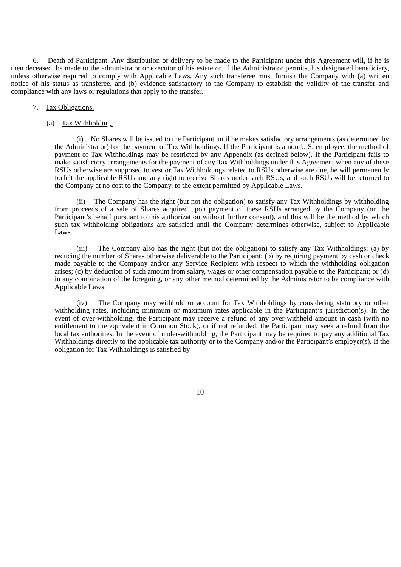6. Death of Participant. Any distribution or delivery to be made to the Participant under this Agreement will, if he is then deceased, be made to the administrator or executor of his estate or, if the Administrator permits, his designated beneficiary, unless otherwise required to comply with Applicable Laws. Any such transferee must furnish the Company with (a) written notice of his status as transferee, and (b) evidence satisfactory to the Company to establish the validity of the transfer and compliance with any laws or regulations that apply to the transfer.

#### 7. Tax Obligations.

#### (a) Tax Withholding.

(i) No Shares will be issued to the Participant until he makes satisfactory arrangements (as determined by the Administrator) for the payment of Tax Withholdings. If the Participant is a non-U.S. employee, the method of payment of Tax Withholdings may be restricted by any Appendix (as defined below). If the Participant fails to make satisfactory arrangements for the payment of any Tax Withholdings under this Agreement when any of these RSUs otherwise are supposed to vest or Tax Withholdings related to RSUs otherwise are due, he will permanently forfeit the applicable RSUs and any right to receive Shares under such RSUs, and such RSUs will be returned to the Company at no cost to the Company, to the extent permitted by Applicable Laws.

(ii) The Company has the right (but not the obligation) to satisfy any Tax Withholdings by withholding from proceeds of a sale of Shares acquired upon payment of these RSUs arranged by the Company (on the Participant's behalf pursuant to this authorization without further consent), and this will be the method by which such tax withholding obligations are satisfied until the Company determines otherwise, subject to Applicable Laws.

(iii) The Company also has the right (but not the obligation) to satisfy any Tax Withholdings: (a) by reducing the number of Shares otherwise deliverable to the Participant; (b) by requiring payment by cash or check made payable to the Company and/or any Service Recipient with respect to which the withholding obligation arises;  $(c)$  by deduction of such amount from salary, wages or other compensation payable to the Participant; or (d) in any combination of the foregoing, or any other method determined by the Administrator to be compliance with Applicable Laws.

(iv) The Company may withhold or account for Tax Withholdings by considering statutory or other withholding rates, including minimum or maximum rates applicable in the Participant's jurisdiction(s). In the event of over-withholding, the Participant may receive a refund of any over-withheld amount in cash (with no entitlement to the equivalent in Common Stock), or if not refunded, the Participant may seek a refund from the local tax authorities. In the event of under-withholding, the Participant may be required to pay any additional Tax Withholdings directly to the applicable tax authority or to the Company and/or the Participant's employer(s). If the obligation for Tax Withholdings is satisfied by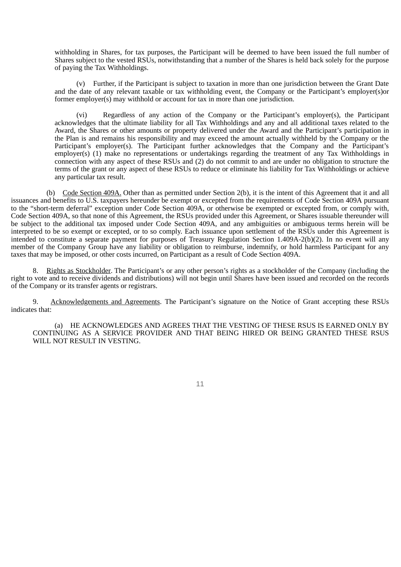withholding in Shares, for tax purposes, the Participant will be deemed to have been issued the full number of Shares subject to the vested RSUs, notwithstanding that a number of the Shares is held back solely for the purpose of paying the Tax Withholdings.

(v) Further, if the Participant is subject to taxation in more than one jurisdiction between the Grant Date and the date of any relevant taxable or tax withholding event, the Company or the Participant's employer(s)or former employer(s) may withhold or account for tax in more than one jurisdiction.

(vi) Regardless of any action of the Company or the Participant's employer(s), the Participant acknowledges that the ultimate liability for all Tax Withholdings and any and all additional taxes related to the Award, the Shares or other amounts or property delivered under the Award and the Participant's participation in the Plan is and remains his responsibility and may exceed the amount actually withheld by the Company or the Participant's employer(s). The Participant further acknowledges that the Company and the Participant's employer(s) (1) make no representations or undertakings regarding the treatment of any Tax Withholdings in connection with any aspect of these RSUs and (2) do not commit to and are under no obligation to structure the terms of the grant or any aspect of these RSUs to reduce or eliminate his liability for Tax Withholdings or achieve any particular tax result.

(b) Code Section 409A. Other than as permitted under Section 2(b), it is the intent of this Agreement that it and all issuances and benefits to U.S. taxpayers hereunder be exempt or excepted from the requirements of Code Section 409A pursuant to the "short-term deferral" exception under Code Section 409A, or otherwise be exempted or excepted from, or comply with, Code Section 409A, so that none of this Agreement, the RSUs provided under this Agreement, or Shares issuable thereunder will be subject to the additional tax imposed under Code Section 409A, and any ambiguities or ambiguous terms herein will be interpreted to be so exempt or excepted, or to so comply. Each issuance upon settlement of the RSUs under this Agreement is intended to constitute a separate payment for purposes of Treasury Regulation Section 1.409A-2(b)(2). In no event will any member of the Company Group have any liability or obligation to reimburse, indemnify, or hold harmless Participant for any taxes that may be imposed, or other costs incurred, on Participant as a result of Code Section 409A.

8. Rights as Stockholder. The Participant's or any other person's rights as a stockholder of the Company (including the right to vote and to receive dividends and distributions) will not begin until Shares have been issued and recorded on the records of the Company or its transfer agents or registrars.

9. Acknowledgements and Agreements. The Participant's signature on the Notice of Grant accepting these RSUs indicates that:

(a) HE ACKNOWLEDGES AND AGREES THAT THE VESTING OF THESE RSUS IS EARNED ONLY BY CONTINUING AS A SERVICE PROVIDER AND THAT BEING HIRED OR BEING GRANTED THESE RSUS WILL NOT RESULT IN VESTING.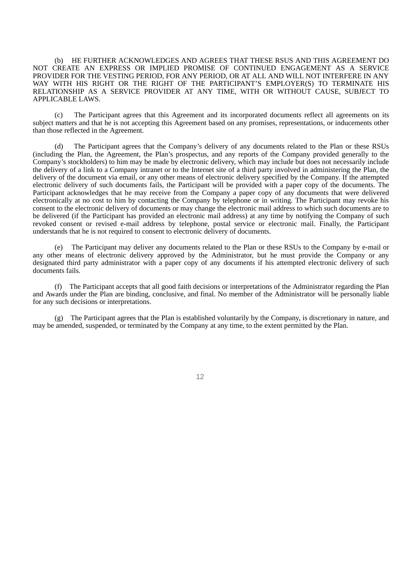(b) HE FURTHER ACKNOWLEDGES AND AGREES THAT THESE RSUS AND THIS AGREEMENT DO NOT CREATE AN EXPRESS OR IMPLIED PROMISE OF CONTINUED ENGAGEMENT AS A SERVICE PROVIDER FOR THE VESTING PERIOD, FOR ANY PERIOD, OR AT ALL AND WILL NOT INTERFERE IN ANY WAY WITH HIS RIGHT OR THE RIGHT OF THE PARTICIPANT'S EMPLOYER(S) TO TERMINATE HIS RELATIONSHIP AS A SERVICE PROVIDER AT ANY TIME, WITH OR WITHOUT CAUSE, SUBJECT TO APPLICABLE LAWS.

(c) The Participant agrees that this Agreement and its incorporated documents reflect all agreements on its subject matters and that he is not accepting this Agreement based on any promises, representations, or inducements other than those reflected in the Agreement.

(d) The Participant agrees that the Company's delivery of any documents related to the Plan or these RSUs (including the Plan, the Agreement, the Plan's prospectus, and any reports of the Company provided generally to the Company's stockholders) to him may be made by electronic delivery, which may include but does not necessarily include the delivery of a link to a Company intranet or to the Internet site of a third party involved in administering the Plan, the delivery of the document via email, or any other means of electronic delivery specified by the Company. If the attempted electronic delivery of such documents fails, the Participant will be provided with a paper copy of the documents. The Participant acknowledges that he may receive from the Company a paper copy of any documents that were delivered electronically at no cost to him by contacting the Company by telephone or in writing. The Participant may revoke his consent to the electronic delivery of documents or may change the electronic mail address to which such documents are to be delivered (if the Participant has provided an electronic mail address) at any time by notifying the Company of such revoked consent or revised e-mail address by telephone, postal service or electronic mail. Finally, the Participant understands that he is not required to consent to electronic delivery of documents.

(e) The Participant may deliver any documents related to the Plan or these RSUs to the Company by e-mail or any other means of electronic delivery approved by the Administrator, but he must provide the Company or any designated third party administrator with a paper copy of any documents if his attempted electronic delivery of such documents fails.

(f) The Participant accepts that all good faith decisions or interpretations of the Administrator regarding the Plan and Awards under the Plan are binding, conclusive, and final. No member of the Administrator will be personally liable for any such decisions or interpretations.

(g) The Participant agrees that the Plan is established voluntarily by the Company, is discretionary in nature, and may be amended, suspended, or terminated by the Company at any time, to the extent permitted by the Plan.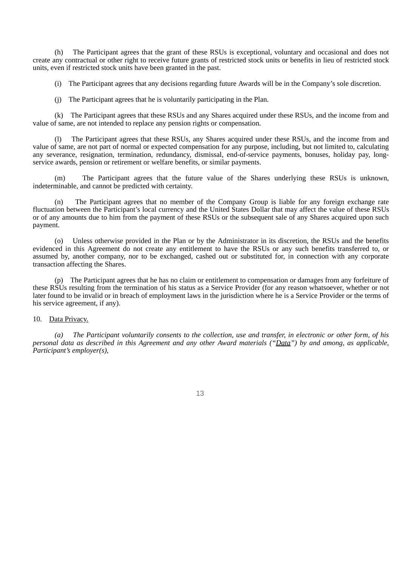(h) The Participant agrees that the grant of these RSUs is exceptional, voluntary and occasional and does not create any contractual or other right to receive future grants of restricted stock units or benefits in lieu of restricted stock units, even if restricted stock units have been granted in the past.

(i) The Participant agrees that any decisions regarding future Awards will be in the Company's sole discretion.

(j) The Participant agrees that he is voluntarily participating in the Plan.

(k) The Participant agrees that these RSUs and any Shares acquired under these RSUs, and the income from and value of same, are not intended to replace any pension rights or compensation.

(l) The Participant agrees that these RSUs, any Shares acquired under these RSUs, and the income from and value of same, are not part of normal or expected compensation for any purpose, including, but not limited to, calculating any severance, resignation, termination, redundancy, dismissal, end-of-service payments, bonuses, holiday pay, longservice awards, pension or retirement or welfare benefits, or similar payments.

(m) The Participant agrees that the future value of the Shares underlying these RSUs is unknown, indeterminable, and cannot be predicted with certainty.

(n) The Participant agrees that no member of the Company Group is liable for any foreign exchange rate fluctuation between the Participant's local currency and the United States Dollar that may affect the value of these RSUs or of any amounts due to him from the payment of these RSUs or the subsequent sale of any Shares acquired upon such payment.

(o) Unless otherwise provided in the Plan or by the Administrator in its discretion, the RSUs and the benefits evidenced in this Agreement do not create any entitlement to have the RSUs or any such benefits transferred to, or assumed by, another company, nor to be exchanged, cashed out or substituted for, in connection with any corporate transaction affecting the Shares.

(p) The Participant agrees that he has no claim or entitlement to compensation or damages from any forfeiture of these RSUs resulting from the termination of his status as a Service Provider (for any reason whatsoever, whether or not later found to be invalid or in breach of employment laws in the jurisdiction where he is a Service Provider or the terms of his service agreement, if any).

#### 10. Data Privacy.

*(a) The Participant voluntarily consents to the collection, use and transfer, in electronic or other form, of his personal data as described in this Agreement and any other Award materials ("Data") by and among, as applicable, Participant's employer(s),*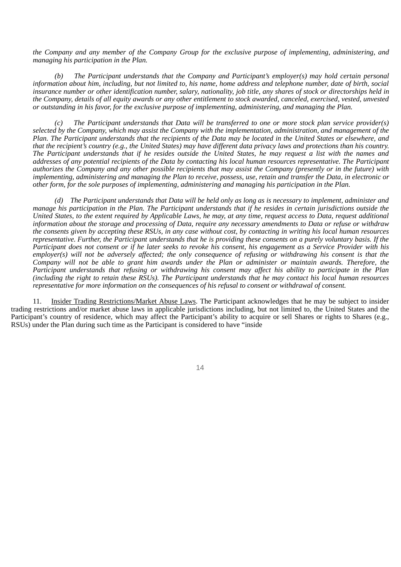*the Company and any member of the Company Group for the exclusive purpose of implementing, administering, and managing his participation in the Plan.*

*(b) The Participant understands that the Company and Participant's employer(s) may hold certain personal information about him, including, but not limited to, his name, home address and telephone number, date of birth, social insurance number or other identification number, salary, nationality, job title, any shares of stock or directorships held in the Company, details of all equity awards or any other entitlement to stock awarded, canceled, exercised, vested, unvested or outstanding in his favor, for the exclusive purpose of implementing, administering, and managing the Plan.*

*(c) The Participant understands that Data will be transferred to one or more stock plan service provider(s) selected by the Company, which may assist the Company with the implementation, administration, and management of the Plan. The Participant understands that the recipients of the Data may be located in the United States or elsewhere, and that the recipient's country (e.g., the United States) may have different data privacy laws and protections than his country. The Participant understands that if he resides outside the United States, he may request a list with the names and addresses of any potential recipients of the Data by contacting his local human resources representative. The Participant authorizes the Company and any other possible recipients that may assist the Company (presently or in the future) with implementing, administering and managing the Plan to receive, possess, use, retain and transfer the Data, in electronic or other form, for the sole purposes of implementing, administering and managing his participation in the Plan.*

*(d) The Participant understands that Data will be held only as long as is necessary to implement, administer and manage his participation in the Plan. The Participant understands that if he resides in certain jurisdictions outside the United States, to the extent required by Applicable Laws, he may, at any time, request access to Data, request additional information about the storage and processing of Data, require any necessary amendments to Data or refuse or withdraw the consents given by accepting these RSUs, in any case without cost, by contacting in writing his local human resources representative. Further, the Participant understands that he is providing these consents on a purely voluntary basis. If the Participant does not consent or if he later seeks to revoke his consent, his engagement as a Service Provider with his employer(s) will not be adversely affected; the only consequence of refusing or withdrawing his consent is that the Company will not be able to grant him awards under the Plan or administer or maintain awards. Therefore, the Participant understands that refusing or withdrawing his consent may affect his ability to participate in the Plan (including the right to retain these RSUs). The Participant understands that he may contact his local human resources representative for more information on the consequences of his refusal to consent or withdrawal of consent.*

11. Insider Trading Restrictions/Market Abuse Laws. The Participant acknowledges that he may be subject to insider trading restrictions and/or market abuse laws in applicable jurisdictions including, but not limited to, the United States and the Participant's country of residence, which may affect the Participant's ability to acquire or sell Shares or rights to Shares (e.g., RSUs) under the Plan during such time as the Participant is considered to have "inside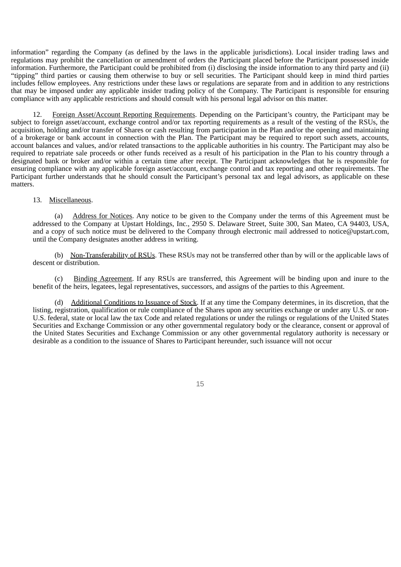information" regarding the Company (as defined by the laws in the applicable jurisdictions). Local insider trading laws and regulations may prohibit the cancellation or amendment of orders the Participant placed before the Participant possessed inside information. Furthermore, the Participant could be prohibited from (i) disclosing the inside information to any third party and (ii) "tipping" third parties or causing them otherwise to buy or sell securities. The Participant should keep in mind third parties includes fellow employees. Any restrictions under these laws or regulations are separate from and in addition to any restrictions that may be imposed under any applicable insider trading policy of the Company. The Participant is responsible for ensuring compliance with any applicable restrictions and should consult with his personal legal advisor on this matter.

12. Foreign Asset/Account Reporting Requirements. Depending on the Participant's country, the Participant may be subject to foreign asset/account, exchange control and/or tax reporting requirements as a result of the vesting of the RSUs, the acquisition, holding and/or transfer of Shares or cash resulting from participation in the Plan and/or the opening and maintaining of a brokerage or bank account in connection with the Plan. The Participant may be required to report such assets, accounts, account balances and values, and/or related transactions to the applicable authorities in his country. The Participant may also be required to repatriate sale proceeds or other funds received as a result of his participation in the Plan to his country through a designated bank or broker and/or within a certain time after receipt. The Participant acknowledges that he is responsible for ensuring compliance with any applicable foreign asset/account, exchange control and tax reporting and other requirements. The Participant further understands that he should consult the Participant's personal tax and legal advisors, as applicable on these matters.

#### 13. Miscellaneous.

(a) Address for Notices. Any notice to be given to the Company under the terms of this Agreement must be addressed to the Company at Upstart Holdings, Inc., 2950 S. Delaware Street, Suite 300, San Mateo, CA 94403, USA, and a copy of such notice must be delivered to the Company through electronic mail addressed to notice@upstart.com, until the Company designates another address in writing.

(b) Non-Transferability of RSUs. These RSUs may not be transferred other than by will or the applicable laws of descent or distribution.

(c) Binding Agreement. If any RSUs are transferred, this Agreement will be binding upon and inure to the benefit of the heirs, legatees, legal representatives, successors, and assigns of the parties to this Agreement.

(d) Additional Conditions to Issuance of Stock. If at any time the Company determines, in its discretion, that the listing, registration, qualification or rule compliance of the Shares upon any securities exchange or under any U.S. or non-U.S. federal, state or local law the tax Code and related regulations or under the rulings or regulations of the United States Securities and Exchange Commission or any other governmental regulatory body or the clearance, consent or approval of the United States Securities and Exchange Commission or any other governmental regulatory authority is necessary or desirable as a condition to the issuance of Shares to Participant hereunder, such issuance will not occur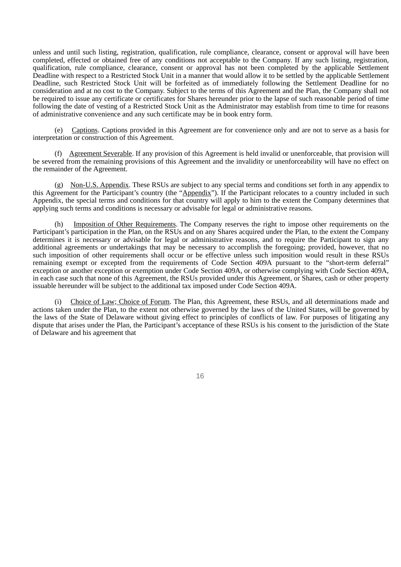unless and until such listing, registration, qualification, rule compliance, clearance, consent or approval will have been completed, effected or obtained free of any conditions not acceptable to the Company. If any such listing, registration, qualification, rule compliance, clearance, consent or approval has not been completed by the applicable Settlement Deadline with respect to a Restricted Stock Unit in a manner that would allow it to be settled by the applicable Settlement Deadline, such Restricted Stock Unit will be forfeited as of immediately following the Settlement Deadline for no consideration and at no cost to the Company. Subject to the terms of this Agreement and the Plan, the Company shall not be required to issue any certificate or certificates for Shares hereunder prior to the lapse of such reasonable period of time following the date of vesting of a Restricted Stock Unit as the Administrator may establish from time to time for reasons of administrative convenience and any such certificate may be in book entry form.

(e) Captions. Captions provided in this Agreement are for convenience only and are not to serve as a basis for interpretation or construction of this Agreement.

(f) Agreement Severable. If any provision of this Agreement is held invalid or unenforceable, that provision will be severed from the remaining provisions of this Agreement and the invalidity or unenforceability will have no effect on the remainder of the Agreement.

(g) Non-U.S. Appendix. These RSUs are subject to any special terms and conditions set forth in any appendix to this Agreement for the Participant's country (the "Appendix"). If the Participant relocates to a country included in such Appendix, the special terms and conditions for that country will apply to him to the extent the Company determines that applying such terms and conditions is necessary or advisable for legal or administrative reasons.

Imposition of Other Requirements. The Company reserves the right to impose other requirements on the Participant's participation in the Plan, on the RSUs and on any Shares acquired under the Plan, to the extent the Company determines it is necessary or advisable for legal or administrative reasons, and to require the Participant to sign any additional agreements or undertakings that may be necessary to accomplish the foregoing; provided, however, that no such imposition of other requirements shall occur or be effective unless such imposition would result in these RSUs remaining exempt or excepted from the requirements of Code Section 409A pursuant to the "short-term deferral" exception or another exception or exemption under Code Section 409A, or otherwise complying with Code Section 409A, in each case such that none of this Agreement, the RSUs provided under this Agreement, or Shares, cash or other property issuable hereunder will be subject to the additional tax imposed under Code Section 409A.

(i) Choice of Law; Choice of Forum. The Plan, this Agreement, these RSUs, and all determinations made and actions taken under the Plan, to the extent not otherwise governed by the laws of the United States, will be governed by the laws of the State of Delaware without giving effect to principles of conflicts of law. For purposes of litigating any dispute that arises under the Plan, the Participant's acceptance of these RSUs is his consent to the jurisdiction of the State of Delaware and his agreement that